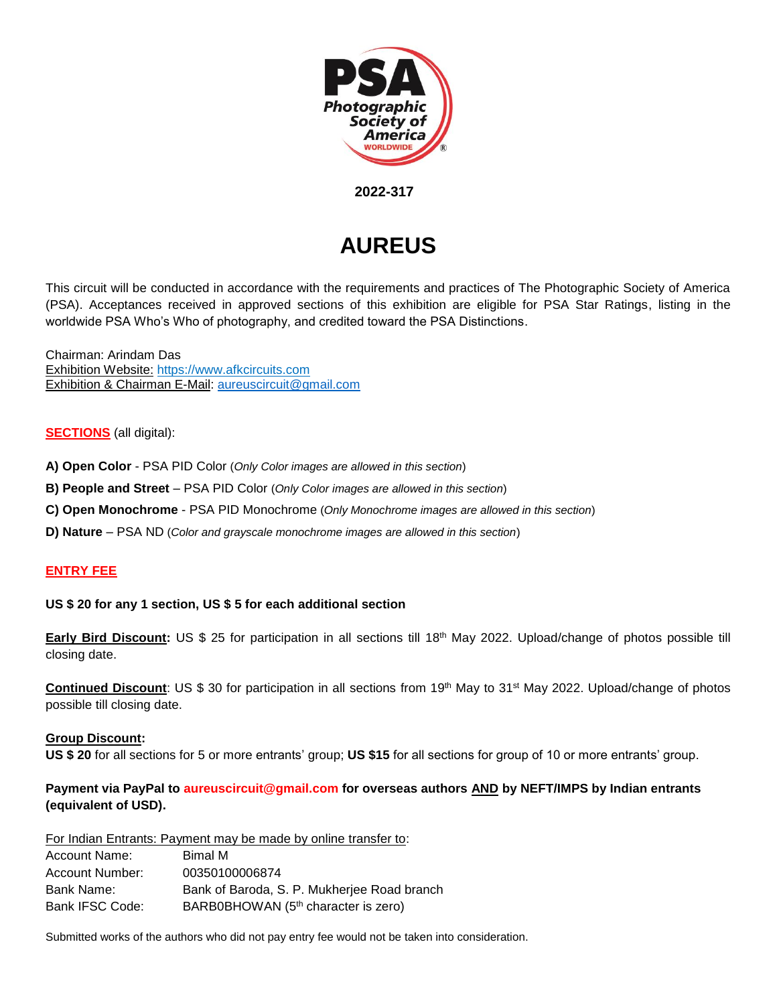

 **2022-317**

# **AUREUS**

This circuit will be conducted in accordance with the requirements and practices of The Photographic Society of America (PSA). Acceptances received in approved sections of this exhibition are eligible for PSA Star Ratings, listing in the worldwide PSA Who's Who of photography, and credited toward the PSA Distinctions.

Chairman: Arindam Das Exhibition Website: [https://www.afkcircuits.com](https://www.afkcircuits.com/) Exhibition & Chairman E-Mail: [aureuscircuit@gmail.com](mailto:aureuscircuit@gmail.com)

# **SECTIONS** (all digital):

- **A) Open Color** PSA PID Color (*Only Color images are allowed in this section*)
- **B) People and Street** PSA PID Color (*Only Color images are allowed in this section*)
- **C) Open Monochrome** PSA PID Monochrome (*Only Monochrome images are allowed in this section*)
- **D) Nature** PSA ND (*Color and grayscale monochrome images are allowed in this section*)

# **ENTRY FEE**

# **US \$ 20 for any 1 section, US \$ 5 for each additional section**

**Early Bird Discount:** US \$ 25 for participation in all sections till 18<sup>th</sup> May 2022. Upload/change of photos possible till closing date.

Continued Discount: US \$ 30 for participation in all sections from 19<sup>th</sup> May to 31<sup>st</sup> May 2022. Upload/change of photos possible till closing date.

# **Group Discount:**

**US \$ 20** for all sections for 5 or more entrants' group; **US \$15** for all sections for group of 10 or more entrants' group.

# **Payment via PayPal to aureuscircuit@gmail.com for overseas authors AND by NEFT/IMPS by Indian entrants (equivalent of USD).**

For Indian Entrants: Payment may be made by online transfer to:

| Account Name:   | Bimal M                                         |
|-----------------|-------------------------------------------------|
| Account Number: | 00350100006874                                  |
| Bank Name:      | Bank of Baroda, S. P. Mukherjee Road branch     |
| Bank IFSC Code: | BARB0BHOWAN (5 <sup>th</sup> character is zero) |

Submitted works of the authors who did not pay entry fee would not be taken into consideration.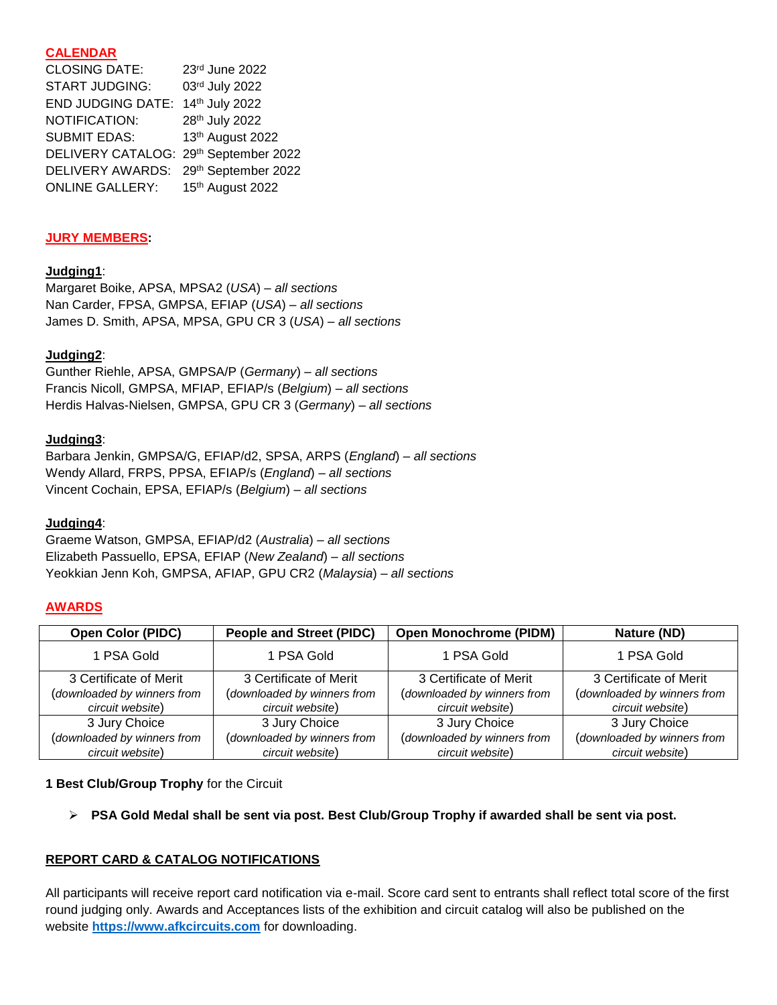# **CALENDAR**

| <b>CLOSING DATE:</b>                  | 23rd June 2022   |
|---------------------------------------|------------------|
| <b>START JUDGING:</b>                 | 03rd July 2022   |
| <b>END JUDGING DATE:</b>              | 14th July 2022   |
| NOTIFICATION:                         | 28th July 2022   |
| <b>SUBMIT EDAS:</b>                   | 13th August 2022 |
| DELIVERY CATALOG: 29th September 2022 |                  |
| DELIVERY AWARDS: 29th September 2022  |                  |
| <b>ONLINE GALLERY:</b>                | 15th August 2022 |

# **JURY MEMBERS:**

# **Judging1**:

Margaret Boike, APSA, MPSA2 (*USA*) – *all sections* Nan Carder, FPSA, GMPSA, EFIAP (*USA*) – *all sections* James D. Smith, APSA, MPSA, GPU CR 3 (*USA*) – *all sections*

# **Judging2**:

Gunther Riehle, APSA, GMPSA/P (*Germany*) – *all sections* Francis Nicoll, GMPSA, MFIAP, EFIAP/s (*Belgium*) – *all sections* Herdis Halvas-Nielsen, GMPSA, GPU CR 3 (*Germany*) – *all sections*

# **Judging3**:

Barbara Jenkin, GMPSA/G, EFIAP/d2, SPSA, ARPS (*England*) – *all sections* Wendy Allard, FRPS, PPSA, EFIAP/s (*England*) – *all sections* Vincent Cochain, EPSA, EFIAP/s (*Belgium*) – *all sections*

# **Judging4**:

Graeme Watson, GMPSA, EFIAP/d2 (*Australia*) – *all sections* Elizabeth Passuello, EPSA, EFIAP (*New Zealand*) – *all sections* Yeokkian Jenn Koh, GMPSA, AFIAP, GPU CR2 (*Malaysia*) – *all sections*

# **AWARDS**

| <b>Open Color (PIDC)</b>    | <b>People and Street (PIDC)</b> | <b>Open Monochrome (PIDM)</b> | Nature (ND)                 |
|-----------------------------|---------------------------------|-------------------------------|-----------------------------|
| 1 PSA Gold                  | 1 PSA Gold                      | 1 PSA Gold                    | 1 PSA Gold                  |
| 3 Certificate of Merit      | 3 Certificate of Merit          | 3 Certificate of Merit        | 3 Certificate of Merit      |
| (downloaded by winners from | (downloaded by winners from     | (downloaded by winners from   | (downloaded by winners from |
| circuit website)            | circuit website)                | circuit website)              | circuit website)            |
| 3 Jury Choice               | 3 Jury Choice                   | 3 Jury Choice                 | 3 Jury Choice               |
| (downloaded by winners from | (downloaded by winners from     | (downloaded by winners from   | (downloaded by winners from |
| circuit website)            | circuit website)                | circuit website)              | circuit website)            |

# **1 Best Club/Group Trophy** for the Circuit

➢ **PSA Gold Medal shall be sent via post. Best Club/Group Trophy if awarded shall be sent via post.**

# **REPORT CARD & CATALOG NOTIFICATIONS**

All participants will receive report card notification via e-mail. Score card sent to entrants shall reflect total score of the first round judging only. Awards and Acceptances lists of the exhibition and circuit catalog will also be published on the website **[https://www.afkcircuits.com](https://www.afkcircuits.com/)** for downloading.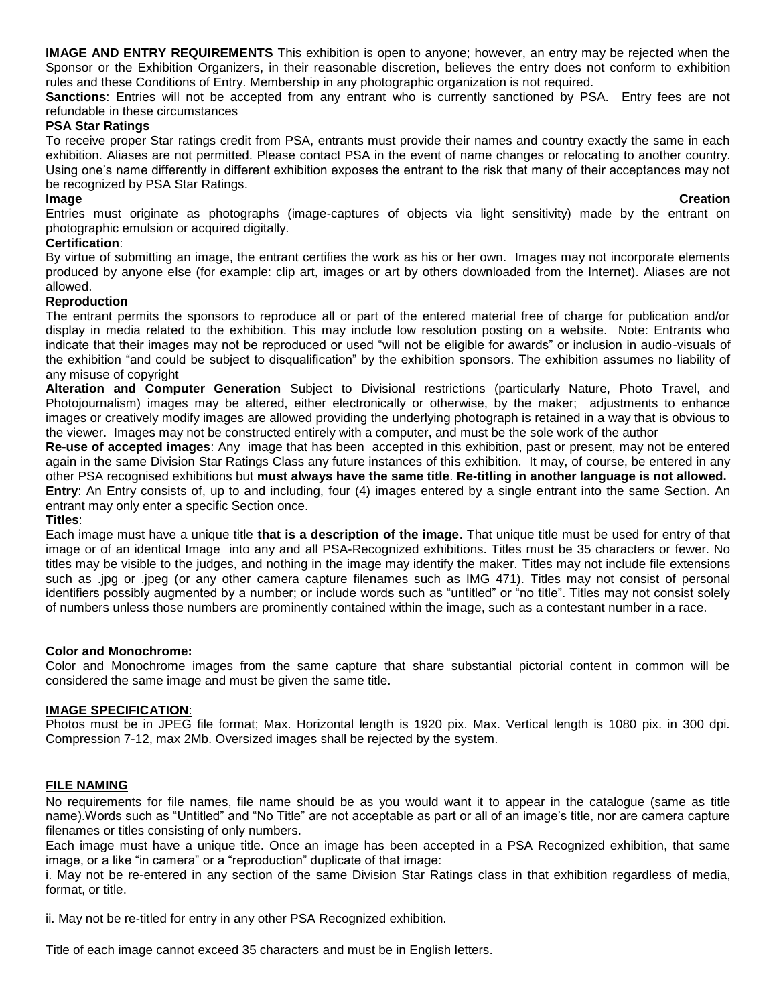**IMAGE AND ENTRY REQUIREMENTS** This exhibition is open to anyone; however, an entry may be rejected when the Sponsor or the Exhibition Organizers, in their reasonable discretion, believes the entry does not conform to exhibition rules and these Conditions of Entry. Membership in any photographic organization is not required.

**Sanctions**: Entries will not be accepted from any entrant who is currently sanctioned by PSA. Entry fees are not refundable in these circumstances

### **PSA Star Ratings**

To receive proper Star ratings credit from PSA, entrants must provide their names and country exactly the same in each exhibition. Aliases are not permitted. Please contact PSA in the event of name changes or relocating to another country. Using one's name differently in different exhibition exposes the entrant to the risk that many of their acceptances may not be recognized by PSA Star Ratings.

#### **Image Creation**

Entries must originate as photographs (image-captures of objects via light sensitivity) made by the entrant on photographic emulsion or acquired digitally.

#### **Certification**:

By virtue of submitting an image, the entrant certifies the work as his or her own. Images may not incorporate elements produced by anyone else (for example: clip art, images or art by others downloaded from the Internet). Aliases are not allowed.

#### **Reproduction**

The entrant permits the sponsors to reproduce all or part of the entered material free of charge for publication and/or display in media related to the exhibition. This may include low resolution posting on a website. Note: Entrants who indicate that their images may not be reproduced or used "will not be eligible for awards" or inclusion in audio-visuals of the exhibition "and could be subject to disqualification" by the exhibition sponsors. The exhibition assumes no liability of any misuse of copyright

**Alteration and Computer Generation** Subject to Divisional restrictions (particularly Nature, Photo Travel, and Photojournalism) images may be altered, either electronically or otherwise, by the maker; adjustments to enhance images or creatively modify images are allowed providing the underlying photograph is retained in a way that is obvious to the viewer. Images may not be constructed entirely with a computer, and must be the sole work of the author

**Re-use of accepted images**: Any image that has been accepted in this exhibition, past or present, may not be entered again in the same Division Star Ratings Class any future instances of this exhibition. It may, of course, be entered in any other PSA recognised exhibitions but **must always have the same title**. **Re-titling in another language is not allowed. Entry**: An Entry consists of, up to and including, four (4) images entered by a single entrant into the same Section. An

entrant may only enter a specific Section once.

#### **Titles**:

Each image must have a unique title **that is a description of the image**. That unique title must be used for entry of that image or of an identical Image into any and all PSA-Recognized exhibitions. Titles must be 35 characters or fewer. No titles may be visible to the judges, and nothing in the image may identify the maker. Titles may not include file extensions such as .jpg or .jpeg (or any other camera capture filenames such as IMG 471). Titles may not consist of personal identifiers possibly augmented by a number; or include words such as "untitled" or "no title". Titles may not consist solely of numbers unless those numbers are prominently contained within the image, such as a contestant number in a race.

#### **Color and Monochrome:**

Color and Monochrome images from the same capture that share substantial pictorial content in common will be considered the same image and must be given the same title.

#### **IMAGE SPECIFICATION**:

Photos must be in JPEG file format; Max. Horizontal length is 1920 pix. Max. Vertical length is 1080 pix. in 300 dpi. Compression 7-12, max 2Mb. Oversized images shall be rejected by the system.

#### **FILE NAMING**

No requirements for file names, file name should be as you would want it to appear in the catalogue (same as title name).Words such as "Untitled" and "No Title" are not acceptable as part or all of an image's title, nor are camera capture filenames or titles consisting of only numbers.

Each image must have a unique title. Once an image has been accepted in a PSA Recognized exhibition, that same image, or a like "in camera" or a "reproduction" duplicate of that image:

i. May not be re-entered in any section of the same Division Star Ratings class in that exhibition regardless of media, format, or title.

ii. May not be re-titled for entry in any other PSA Recognized exhibition.

Title of each image cannot exceed 35 characters and must be in English letters.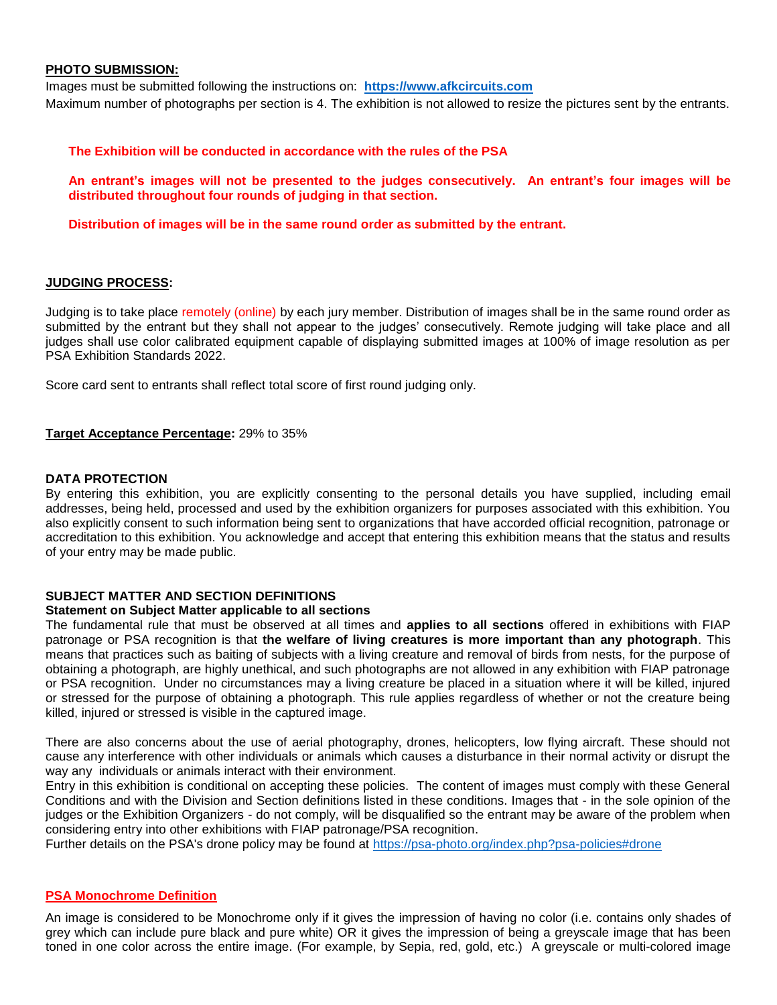#### **PHOTO SUBMISSION:**

Images must be submitted following the instructions on[:](http://www.photomagart.com/) **[https://www.afkcircuits.com](https://www.afkcircuits.com/)** Maximum number of photographs per section is 4. The exhibition is not allowed to resize the pictures sent by the entrants.

#### **The Exhibition will be conducted in accordance with the rules of the PSA**

**An entrant's images will not be presented to the judges consecutively. An entrant's four images will be distributed throughout four rounds of judging in that section.** 

**Distribution of images will be in the same round order as submitted by the entrant.**

#### **JUDGING PROCESS:**

Judging is to take place remotely (online) by each jury member. Distribution of images shall be in the same round order as submitted by the entrant but they shall not appear to the judges' consecutively. Remote judging will take place and all judges shall use color calibrated equipment capable of displaying submitted images at 100% of image resolution as per PSA Exhibition Standards 2022.

Score card sent to entrants shall reflect total score of first round judging only.

#### **Target Acceptance Percentage:** 29% to 35%

#### **DATA PROTECTION**

By entering this exhibition, you are explicitly consenting to the personal details you have supplied, including email addresses, being held, processed and used by the exhibition organizers for purposes associated with this exhibition. You also explicitly consent to such information being sent to organizations that have accorded official recognition, patronage or accreditation to this exhibition. You acknowledge and accept that entering this exhibition means that the status and results of your entry may be made public.

#### **SUBJECT MATTER AND SECTION DEFINITIONS**

#### **Statement on Subject Matter applicable to all sections**

The fundamental rule that must be observed at all times and **applies to all sections** offered in exhibitions with FIAP patronage or PSA recognition is that **the welfare of living creatures is more important than any photograph**. This means that practices such as baiting of subjects with a living creature and removal of birds from nests, for the purpose of obtaining a photograph, are highly unethical, and such photographs are not allowed in any exhibition with FIAP patronage or PSA recognition. Under no circumstances may a living creature be placed in a situation where it will be killed, injured or stressed for the purpose of obtaining a photograph. This rule applies regardless of whether or not the creature being killed, injured or stressed is visible in the captured image.

There are also concerns about the use of aerial photography, drones, helicopters, low flying aircraft. These should not cause any interference with other individuals or animals which causes a disturbance in their normal activity or disrupt the way any individuals or animals interact with their environment.

Entry in this exhibition is conditional on accepting these policies. The content of images must comply with these General Conditions and with the Division and Section definitions listed in these conditions. Images that - in the sole opinion of the judges or the Exhibition Organizers - do not comply, will be disqualified so the entrant may be aware of the problem when considering entry into other exhibitions with FIAP patronage/PSA recognition.

Further details on the PSA's drone policy may be found at [https://psa-photo.org/index.php?psa-policies#drone](https://psa-photo.org/index.php?psa-policies%23drone)

#### **PSA Monochrome Definition**

An image is considered to be Monochrome only if it gives the impression of having no color (i.e. contains only shades of grey which can include pure black and pure white) OR it gives the impression of being a greyscale image that has been toned in one color across the entire image. (For example, by Sepia, red, gold, etc.) A greyscale or multi-colored image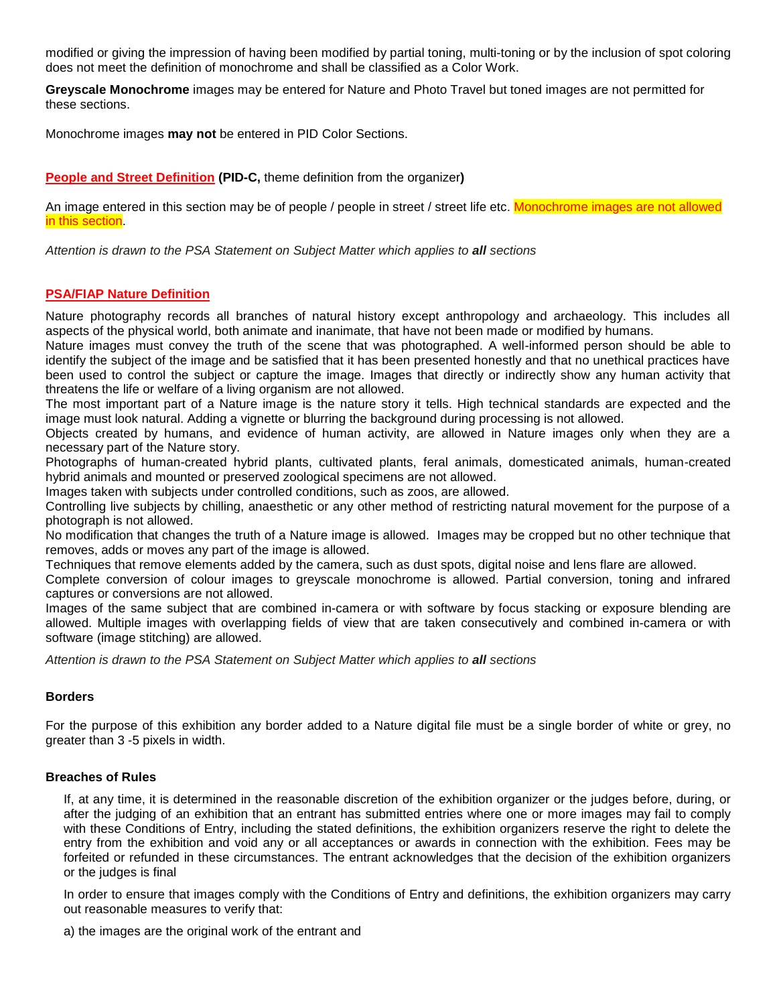modified or giving the impression of having been modified by partial toning, multi-toning or by the inclusion of spot coloring does not meet the definition of monochrome and shall be classified as a Color Work.

**Greyscale Monochrome** images may be entered for Nature and Photo Travel but toned images are not permitted for these sections.

Monochrome images **may not** be entered in PID Color Sections.

**People and Street Definition (PID-C,** theme definition from the organizer**)**

An image entered in this section may be of people / people in street / street life etc. Monochrome images are not allowed in this section.

*Attention is drawn to the PSA Statement on Subject Matter which applies to all sections*

#### **PSA/FIAP Nature Definition**

Nature photography records all branches of natural history except anthropology and archaeology. This includes all aspects of the physical world, both animate and inanimate, that have not been made or modified by humans.

Nature images must convey the truth of the scene that was photographed. A well-informed person should be able to identify the subject of the image and be satisfied that it has been presented honestly and that no unethical practices have been used to control the subject or capture the image. Images that directly or indirectly show any human activity that threatens the life or welfare of a living organism are not allowed.

The most important part of a Nature image is the nature story it tells. High technical standards are expected and the image must look natural. Adding a vignette or blurring the background during processing is not allowed.

Objects created by humans, and evidence of human activity, are allowed in Nature images only when they are a necessary part of the Nature story.

Photographs of human-created hybrid plants, cultivated plants, feral animals, domesticated animals, human-created hybrid animals and mounted or preserved zoological specimens are not allowed.

Images taken with subjects under controlled conditions, such as zoos, are allowed.

Controlling live subjects by chilling, anaesthetic or any other method of restricting natural movement for the purpose of a photograph is not allowed.

No modification that changes the truth of a Nature image is allowed. Images may be cropped but no other technique that removes, adds or moves any part of the image is allowed.

Techniques that remove elements added by the camera, such as dust spots, digital noise and lens flare are allowed.

Complete conversion of colour images to greyscale monochrome is allowed. Partial conversion, toning and infrared captures or conversions are not allowed.

Images of the same subject that are combined in-camera or with software by focus stacking or exposure blending are allowed. Multiple images with overlapping fields of view that are taken consecutively and combined in-camera or with software (image stitching) are allowed.

*Attention is drawn to the PSA Statement on Subject Matter which applies to all sections*

#### **Borders**

For the purpose of this exhibition any border added to a Nature digital file must be a single border of white or grey, no greater than 3 -5 pixels in width.

#### **Breaches of Rules**

If, at any time, it is determined in the reasonable discretion of the exhibition organizer or the judges before, during, or after the judging of an exhibition that an entrant has submitted entries where one or more images may fail to comply with these Conditions of Entry, including the stated definitions, the exhibition organizers reserve the right to delete the entry from the exhibition and void any or all acceptances or awards in connection with the exhibition. Fees may be forfeited or refunded in these circumstances. The entrant acknowledges that the decision of the exhibition organizers or the judges is final

In order to ensure that images comply with the Conditions of Entry and definitions, the exhibition organizers may carry out reasonable measures to verify that:

a) the images are the original work of the entrant and